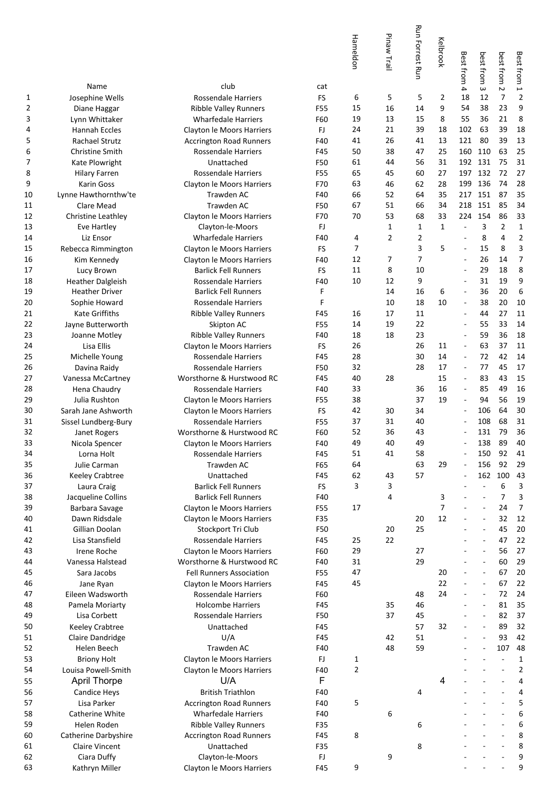|          |                                   |                                                                     |            | Hameldon       | Pinaw Trail    | <b>Run Forrest Run</b> | Kelbrook       | Best from                      | best from                      | best from                | Best from 1             |
|----------|-----------------------------------|---------------------------------------------------------------------|------------|----------------|----------------|------------------------|----------------|--------------------------------|--------------------------------|--------------------------|-------------------------|
| 1        | Name                              | club<br>Rossendale Harriers                                         | cat<br>FS  | 6              |                |                        | 2              | $\overline{\phantom{a}}$<br>18 | $\omega$<br>12                 | $\sim$<br>$\overline{7}$ | $\overline{2}$          |
| 2        | Josephine Wells<br>Diane Haggar   | <b>Ribble Valley Runners</b>                                        | F55        | 15             | 5<br>16        | 5<br>14                | 9              | 54                             | 38                             | 23                       | 9                       |
| 3        | Lynn Whittaker                    | <b>Wharfedale Harriers</b>                                          | F60        | 19             | 13             | 15                     | 8              | 55                             | 36                             | 21                       | 8                       |
| 4        | Hannah Eccles                     | <b>Clayton le Moors Harriers</b>                                    | FJ         | 24             | 21             | 39                     | 18             | 102                            | 63                             | 39                       | 18                      |
| 5        | Rachael Strutz                    | <b>Accrington Road Runners</b>                                      | F40        | 41             | 26             | 41                     | 13             | 121                            | 80                             | 39                       | 13                      |
| 6        | <b>Christine Smith</b>            | Rossendale Harriers                                                 | F45        | 50             | 38             | 47                     | 25             | 160                            | 110                            | 63                       | 25                      |
| 7        | Kate Plowright                    | Unattached                                                          | F50        | 61             | 44             | 56                     | 31             |                                | 192 131                        | 75                       | 31                      |
| 8        | <b>Hilary Farren</b>              | Rossendale Harriers                                                 | F55        | 65             | 45             | 60                     | 27             | 197                            | 132                            | 72                       | 27                      |
| 9        | Karin Goss                        | Clayton le Moors Harriers                                           | F70        | 63             | 46             | 62                     | 28             | 199                            | 136                            | 74                       | 28                      |
| 10       | Lynne Hawthornthw'te              | Trawden AC                                                          | F40        | 66             | 52             | 64                     | 35             | 217                            | 151                            | 87                       | 35                      |
| 11       | Clare Mead                        | Trawden AC                                                          | F50        | 67             | 51<br>53       | 66                     | 34<br>33       | 218                            | 151<br>154                     | 85<br>86                 | 34<br>33                |
| 12<br>13 | Christine Leathley<br>Eve Hartley | Clayton le Moors Harriers<br>Clayton-le-Moors                       | F70<br>FJ  | 70             | 1              | 68<br>$\mathbf{1}$     | $\mathbf{1}$   | 224                            | 3                              | 2                        | $\mathbf 1$             |
| 14       | Liz Ensor                         | <b>Wharfedale Harriers</b>                                          | F40        | 4              | $\overline{2}$ | 2                      |                | ä,                             | 8                              | 4                        | 2                       |
| 15       | Rebecca Rimmington                | Clayton le Moors Harriers                                           | FS         | 7              |                | 3                      | 5              | ä,                             | 15                             | 8                        | 3                       |
| 16       | Kim Kennedy                       | Clayton le Moors Harriers                                           | F40        | 12             | 7              | 7                      |                |                                | 26                             | 14                       | 7                       |
| 17       | Lucy Brown                        | <b>Barlick Fell Runners</b>                                         | <b>FS</b>  | 11             | 8              | 10                     |                |                                | 29                             | 18                       | 8                       |
| 18       | <b>Heather Dalgleish</b>          | <b>Rossendale Harriers</b>                                          | F40        | 10             | 12             | 9                      |                | Ē,                             | 31                             | 19                       | 9                       |
| 19       | <b>Heather Driver</b>             | <b>Barlick Fell Runners</b>                                         | F          |                | 14             | 16                     | 6              | ä,                             | 36                             | 20                       | 6                       |
| 20       | Sophie Howard                     | <b>Rossendale Harriers</b>                                          | F          |                | 10             | 18                     | 10             | ÷                              | 38                             | 20                       | 10                      |
| 21       | <b>Kate Griffiths</b>             | <b>Ribble Valley Runners</b>                                        | F45        | 16             | 17             | 11                     |                | ٠                              | 44                             | 27                       | 11                      |
| 22       | Jayne Butterworth                 | Skipton AC                                                          | F55        | 14             | 19             | 22                     |                |                                | 55                             | 33                       | 14                      |
| 23       | Joanne Motley                     | <b>Ribble Valley Runners</b>                                        | F40        | 18<br>26       | 18             | 23<br>26               |                | $\overline{a}$                 | 59<br>63                       | 36<br>37                 | 18<br>11                |
| 24<br>25 | Lisa Ellis<br>Michelle Young      | Clayton le Moors Harriers<br>Rossendale Harriers                    | FS<br>F45  | 28             |                | 30                     | 11<br>14       | $\overline{\phantom{a}}$       | 72                             | 42                       | 14                      |
| 26       | Davina Raidy                      | Rossendale Harriers                                                 | F50        | 32             |                | 28                     | 17             | ÷                              | 77                             | 45                       | 17                      |
| 27       | Vanessa McCartney                 | Worsthorne & Hurstwood RC                                           | F45        | 40             | 28             |                        | 15             | ÷                              | 83                             | 43                       | 15                      |
| 28       | Hena Chaudry                      | Rossendale Harriers                                                 | F40        | 33             |                | 36                     | 16             |                                | 85                             | 49                       | 16                      |
| 29       | Julia Rushton                     | Clayton le Moors Harriers                                           | F55        | 38             |                | 37                     | 19             |                                | 94                             | 56                       | 19                      |
| 30       | Sarah Jane Ashworth               | Clayton le Moors Harriers                                           | FS         | 42             | 30             | 34                     |                |                                | 106                            | 64                       | 30                      |
| 31       | Sissel Lundberg-Bury              | <b>Rossendale Harriers</b>                                          | F55        | 37             | 31             | 40                     |                |                                | 108                            | 68                       | 31                      |
| 32       | Janet Rogers                      | Worsthorne & Hurstwood RC                                           | F60        | 52             | 36             | 43                     |                |                                | 131                            | 79                       | 36                      |
| 33       | Nicola Spencer                    | Clayton le Moors Harriers                                           | F40        | 49             | 40             | 49                     |                |                                | 138                            | 89                       | 40                      |
| 34<br>35 | Lorna Holt<br>Julie Carman        | Rossendale Harriers<br>Trawden AC                                   | F45<br>F65 | 51<br>64       | 41             | 58<br>63               | 29             |                                | 150<br>156                     | 92<br>92                 | 41<br>29                |
| 36       | <b>Keeley Crabtree</b>            | Unattached                                                          | F45        | 62             | 43             | 57                     |                | $\blacksquare$                 | 162                            | 100                      | 43                      |
| 37       | Laura Craig                       | <b>Barlick Fell Runners</b>                                         | <b>FS</b>  | 3              | 3              |                        |                |                                | ÷,                             | 6                        | 3                       |
| 38       | Jacqueline Collins                | <b>Barlick Fell Runners</b>                                         | F40        |                | 4              |                        | 3              |                                | ÷,                             | 7                        | 3                       |
| 39       | Barbara Savage                    | Clayton le Moors Harriers                                           | F55        | 17             |                |                        | $\overline{7}$ |                                | $\overline{\phantom{a}}$       | 24                       | $\overline{7}$          |
| 40       | Dawn Ridsdale                     | Clayton le Moors Harriers                                           | F35        |                |                | 20                     | 12             |                                | $\overline{\phantom{a}}$       | 32                       | 12                      |
| 41       | Gillian Doolan                    | Stockport Tri Club                                                  | F50        |                | 20             | 25                     |                |                                | $\overline{a}$                 | 45                       | 20                      |
| 42       | Lisa Stansfield                   | Rossendale Harriers                                                 | F45        | 25             | 22             |                        |                |                                | $\overline{\phantom{a}}$       | 47                       | 22                      |
| 43       | Irene Roche                       | Clayton le Moors Harriers                                           | F60        | 29             |                | 27                     |                |                                | $\overline{a}$                 | 56                       | 27                      |
| 44       | Vanessa Halstead                  | Worsthorne & Hurstwood RC                                           | F40        | 31             |                | 29                     | 20             |                                | L.<br>$\overline{\phantom{a}}$ | 60<br>67                 | 29<br>20                |
| 45<br>46 | Sara Jacobs<br>Jane Ryan          | <b>Fell Runners Association</b><br><b>Clayton le Moors Harriers</b> | F55<br>F45 | 47<br>45       |                |                        | 22             |                                | $\overline{\phantom{a}}$       | 67                       | 22                      |
| 47       | Eileen Wadsworth                  | <b>Rossendale Harriers</b>                                          | F60        |                |                | 48                     | 24             |                                | $\sim$                         | 72                       | 24                      |
| 48       | Pamela Moriarty                   | <b>Holcombe Harriers</b>                                            | F45        |                | 35             | 46                     |                |                                | $\overline{\phantom{a}}$       | 81                       | 35                      |
| 49       | Lisa Corbett                      | <b>Rossendale Harriers</b>                                          | F50        |                | 37             | 45                     |                |                                | $\overline{\phantom{a}}$       | 82                       | 37                      |
| 50       | <b>Keeley Crabtree</b>            | Unattached                                                          | F45        |                |                | 57                     | 32             | ٠                              | $\overline{\phantom{a}}$       | 89                       | 32                      |
| 51       | Claire Dandridge                  | U/A                                                                 | F45        |                | 42             | 51                     |                |                                | ÷,                             | 93                       | 42                      |
| 52       | Helen Beech                       | Trawden AC                                                          | F40        |                | 48             | 59                     |                |                                |                                | 107                      | 48                      |
| 53       | <b>Briony Holt</b>                | Clayton le Moors Harriers                                           | FJ         | 1              |                |                        |                |                                |                                |                          | $\mathbf 1$             |
| 54       | Louisa Powell-Smith               | Clayton le Moors Harriers                                           | F40        | $\overline{2}$ |                |                        |                |                                |                                |                          | $\overline{\mathbf{c}}$ |
| 55       | <b>April Thorpe</b>               | U/A                                                                 | F          |                |                |                        | 4              |                                |                                |                          | 4                       |
| 56       | Candice Heys                      | <b>British Triathlon</b>                                            | F40        |                |                | 4                      |                |                                |                                |                          | 4                       |
| 57<br>58 | Lisa Parker<br>Catherine White    | <b>Accrington Road Runners</b><br><b>Wharfedale Harriers</b>        | F40<br>F40 | 5              | 6              |                        |                |                                |                                |                          | 5<br>6                  |
| 59       | Helen Roden                       | Ribble Valley Runners                                               | F35        |                |                | 6                      |                |                                |                                |                          | 6                       |
| 60       | Catherine Darbyshire              | <b>Accrington Road Runners</b>                                      | F45        | 8              |                |                        |                |                                |                                |                          | 8                       |
| 61       | <b>Claire Vincent</b>             | Unattached                                                          | F35        |                |                | 8                      |                |                                |                                |                          | 8                       |
| 62       | Ciara Duffy                       | Clayton-le-Moors                                                    | FJ         |                | 9              |                        |                |                                |                                |                          | 9                       |
| 63       | Kathryn Miller                    | Clayton le Moors Harriers                                           | F45        | 9              |                |                        |                |                                |                                |                          | 9                       |